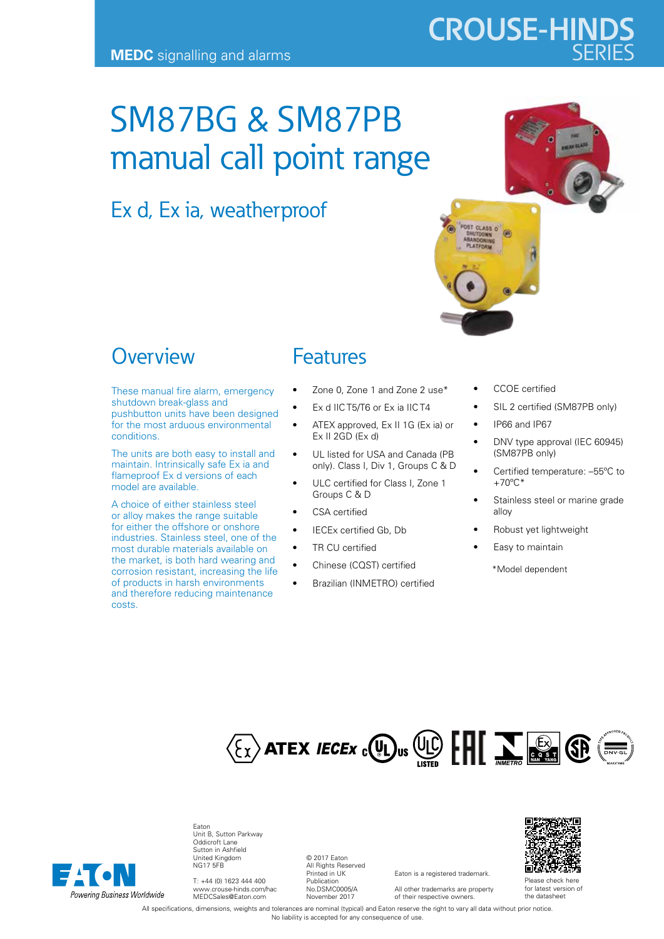# **CROUSE-HINDS**

## SM87BG & SM87PB manual call point range

### Ex d, Ex ia, weatherproof



#### **Overview**

These manual fire alarm, emergency shutdown break-glass and pushbutton units have been designed for the most arduous environmental conditions.

The units are both easy to install and maintain. Intrinsically safe Ex ia and flameproof Ex d versions of each model are available.

A choice of either stainless steel or alloy makes the range suitable for either the offshore or onshore industries. Stainless steel, one of the most durable materials available on the market, is both hard wearing and corrosion resistant, increasing the life of products in harsh environments and therefore reducing maintenance costs.

#### Features

- Zone 0, Zone 1 and Zone 2 use\*
- Ex d IIC T5/T6 or Ex ia IIC T4
- ATEX approved, Ex II 1G (Ex ia) or Ex II 2GD (Ex d)
- UL listed for USA and Canada (PB only). Class I, Div 1, Groups C & D
- ULC certified for Class I, Zone 1 Groups C & D
- CSA certified
- IECEx certified Gb, Db
- TR CU certified
- Chinese (CQST) certified
- Brazilian (INMETRO) certified
- CCOE certified
- SIL 2 certified (SM87PB only)
- IP66 and IP67
- DNV type approval (IEC 60945) (SM87PB only)
- Certified temperature: –55ºC to  $+70^{\circ}$ C\*
- Stainless steel or marine grade alloy
- Robust yet lightweight
- Easy to maintain

\*Model dependent





Eaton Unit B, Sutton Parkway Oddicroft Lane Sutton in Ashfield United Kingdom NG17 5FB

T: +44 (0) 1623 444 400 www.crouse-hinds.com/hac MEDCSales@Eaton.com

© 2017 Eaton All Rights Reserved Printed in UK Publication No.DSMC0005/A November 2017

Eaton is a registered trademark. All other trademarks are property

of their respective owners.



Please check here for latest version of the datasheet

All specifications, dimensions, weights and tolerances are nominal (typical) and Eaton reserve the right to vary all data without prior notice. No liability is accepted for any consequence of use.